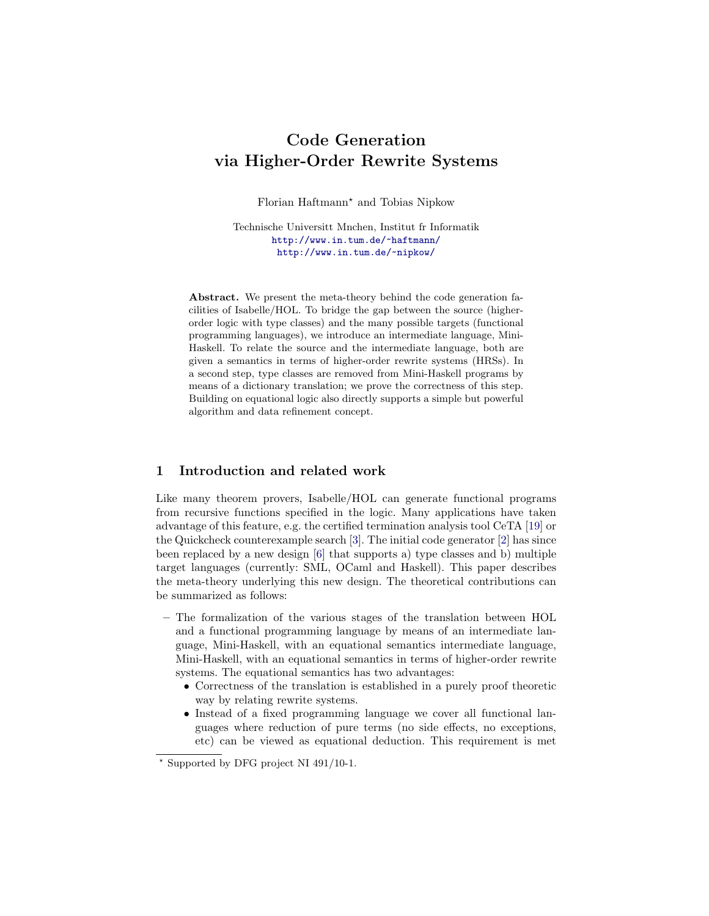# Code Generation via Higher-Order Rewrite Systems

Florian Haftmann? and Tobias Nipkow

Technische Universitt Mnchen, Institut fr Informatik <http://www.in.tum.de/~haftmann/> <http://www.in.tum.de/~nipkow/>

Abstract. We present the meta-theory behind the code generation facilities of Isabelle/HOL. To bridge the gap between the source (higherorder logic with type classes) and the many possible targets (functional programming languages), we introduce an intermediate language, Mini-Haskell. To relate the source and the intermediate language, both are given a semantics in terms of higher-order rewrite systems (HRSs). In a second step, type classes are removed from Mini-Haskell programs by means of a dictionary translation; we prove the correctness of this step. Building on equational logic also directly supports a simple but powerful algorithm and data refinement concept.

## 1 Introduction and related work

Like many theorem provers, Isabelle/HOL can generate functional programs from recursive functions specified in the logic. Many applications have taken advantage of this feature, e.g. the certified termination analysis tool CeTA [\[19\]](#page-14-0) or the Quickcheck counterexample search [\[3\]](#page-13-0). The initial code generator [\[2\]](#page-13-1) has since been replaced by a new design [\[6\]](#page-14-1) that supports a) type classes and b) multiple target languages (currently: SML, OCaml and Haskell). This paper describes the meta-theory underlying this new design. The theoretical contributions can be summarized as follows:

- The formalization of the various stages of the translation between HOL and a functional programming language by means of an intermediate language, Mini-Haskell, with an equational semantics intermediate language, Mini-Haskell, with an equational semantics in terms of higher-order rewrite systems. The equational semantics has two advantages:
	- Correctness of the translation is established in a purely proof theoretic way by relating rewrite systems.
	- Instead of a fixed programming language we cover all functional languages where reduction of pure terms (no side effects, no exceptions, etc) can be viewed as equational deduction. This requirement is met

 $*$  Supported by DFG project NI 491/10-1.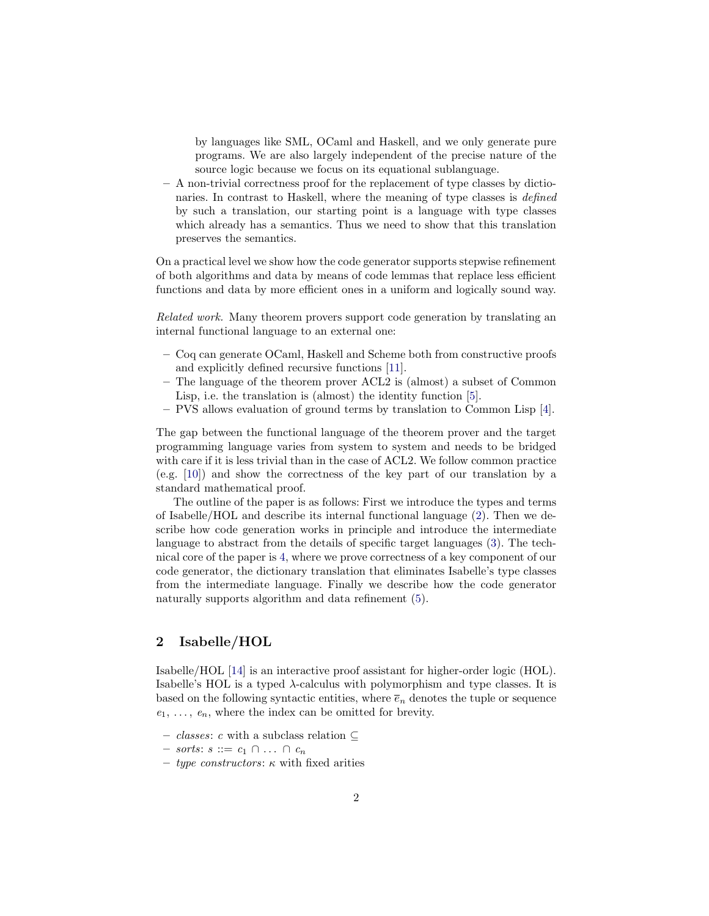by languages like SML, OCaml and Haskell, and we only generate pure programs. We are also largely independent of the precise nature of the source logic because we focus on its equational sublanguage.

– A non-trivial correctness proof for the replacement of type classes by dictionaries. In contrast to Haskell, where the meaning of type classes is *defined* by such a translation, our starting point is a language with type classes which already has a semantics. Thus we need to show that this translation preserves the semantics.

On a practical level we show how the code generator supports stepwise refinement of both algorithms and data by means of code lemmas that replace less efficient functions and data by more efficient ones in a uniform and logically sound way.

Related work. Many theorem provers support code generation by translating an internal functional language to an external one:

- Coq can generate OCaml, Haskell and Scheme both from constructive proofs and explicitly defined recursive functions [\[11\]](#page-14-2).
- The language of the theorem prover ACL2 is (almost) a subset of Common Lisp, i.e. the translation is (almost) the identity function [\[5\]](#page-14-3).
- PVS allows evaluation of ground terms by translation to Common Lisp [\[4\]](#page-13-2).

The gap between the functional language of the theorem prover and the target programming language varies from system to system and needs to be bridged with care if it is less trivial than in the case of ACL2. We follow common practice (e.g. [\[10\]](#page-14-4)) and show the correctness of the key part of our translation by a standard mathematical proof.

The outline of the paper is as follows: First we introduce the types and terms of Isabelle/HOL and describe its internal functional language [\(2\)](#page-1-0). Then we describe how code generation works in principle and introduce the intermediate language to abstract from the details of specific target languages [\(3\)](#page-3-0). The technical core of the paper is [4,](#page-5-0) where we prove correctness of a key component of our code generator, the dictionary translation that eliminates Isabelle's type classes from the intermediate language. Finally we describe how the code generator naturally supports algorithm and data refinement [\(5\)](#page-11-0).

## <span id="page-1-0"></span>2 Isabelle/HOL

Isabelle/HOL [\[14\]](#page-14-5) is an interactive proof assistant for higher-order logic (HOL). Isabelle's HOL is a typed λ-calculus with polymorphism and type classes. It is based on the following syntactic entities, where  $\bar{e}_n$  denotes the tuple or sequence  $e_1, \ldots, e_n$ , where the index can be omitted for brevity.

- $− \textit{classes: } c \text{ with a subclass relation } \subset$
- sorts: s ::=  $c_1$  ∩ ... ∩  $c_n$
- $-$  type constructors:  $\kappa$  with fixed arities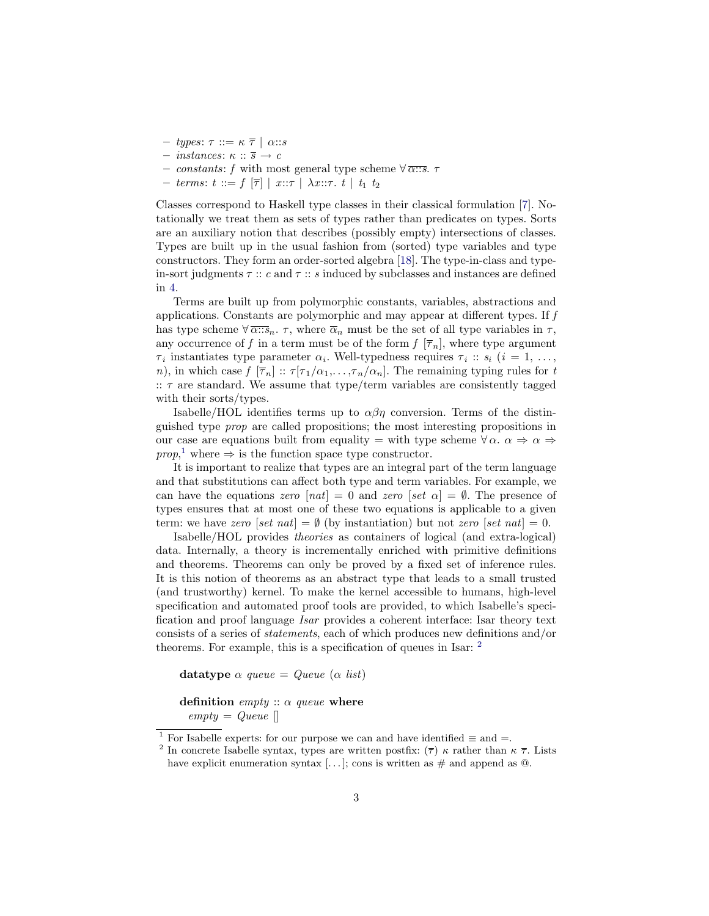- types:  $\tau ::= \kappa \overline{\tau} \mid \alpha::s$
- $-$  instances:  $\kappa$  ::  $\overline{s} \rightarrow c$
- constants: f with most general type scheme  $\forall \overline{\alpha::s}.$  τ
- $-$  terms:  $t ::= f [\overline{\tau}] | x::\tau | \lambda x::\tau$ .  $t | t_1 t_2$

Classes correspond to Haskell type classes in their classical formulation [\[7\]](#page-14-6). Notationally we treat them as sets of types rather than predicates on types. Sorts are an auxiliary notion that describes (possibly empty) intersections of classes. Types are built up in the usual fashion from (sorted) type variables and type constructors. They form an order-sorted algebra [\[18\]](#page-14-7). The type-in-class and typein-sort judgments  $\tau :: c$  and  $\tau :: s$  induced by subclasses and instances are defined in [4.](#page-5-0)

Terms are built up from polymorphic constants, variables, abstractions and applications. Constants are polymorphic and may appear at different types. If f has type scheme  $\forall \overline{\alpha::s}_n$ .  $\tau$ , where  $\overline{\alpha}_n$  must be the set of all type variables in  $\tau$ , any occurrence of f in a term must be of the form  $f\left[\overline{\tau}_n\right]$ , where type argument  $\tau_i$  instantiates type parameter  $\alpha_i$ . Well-typedness requires  $\tau_i$ :  $s_i$  ( $i = 1, \ldots,$ n), in which case  $f[\overline{\tau}_n] :: \tau[\tau_1/\alpha_1,\ldots,\tau_n/\alpha_n]$ . The remaining typing rules for t  $\therefore$ :  $\tau$  are standard. We assume that type/term variables are consistently tagged with their sorts/types.

Isabelle/HOL identifies terms up to  $\alpha\beta\eta$  conversion. Terms of the distinguished type prop are called propositions; the most interesting propositions in our case are equations built from equality = with type scheme  $\forall \alpha$ .  $\alpha \Rightarrow \alpha \Rightarrow$  $prop, \frac{1}{1}$  $prop, \frac{1}{1}$  $prop, \frac{1}{1}$  where  $\Rightarrow$  is the function space type constructor.

It is important to realize that types are an integral part of the term language and that substitutions can affect both type and term variables. For example, we can have the equations zero  $[nat] = 0$  and zero  $[set \alpha] = \emptyset$ . The presence of types ensures that at most one of these two equations is applicable to a given term: we have zero  $[set nat] = \emptyset$  (by instantiation) but not zero  $[set nat] = 0$ .

Isabelle/HOL provides theories as containers of logical (and extra-logical) data. Internally, a theory is incrementally enriched with primitive definitions and theorems. Theorems can only be proved by a fixed set of inference rules. It is this notion of theorems as an abstract type that leads to a small trusted (and trustworthy) kernel. To make the kernel accessible to humans, high-level specification and automated proof tools are provided, to which Isabelle's specification and proof language Isar provides a coherent interface: Isar theory text consists of a series of statements, each of which produces new definitions and/or theorems. For example, this is a specification of queues in Isar: [2](#page-2-1)

datatype  $\alpha$  queue = Queue ( $\alpha$  list)

definition empty ::  $\alpha$  queue where  $empty = Queue \parallel$ 

<span id="page-2-0"></span><sup>&</sup>lt;sup>1</sup> For Isabelle experts: for our purpose we can and have identified  $\equiv$  and  $=$ .

<span id="page-2-1"></span><sup>&</sup>lt;sup>2</sup> In concrete Isabelle syntax, types are written postfix:  $(\overline{\tau})$   $\kappa$  rather than  $\kappa \overline{\tau}$ . Lists have explicit enumeration syntax [...]; cons is written as  $\#$  and append as  $@$ .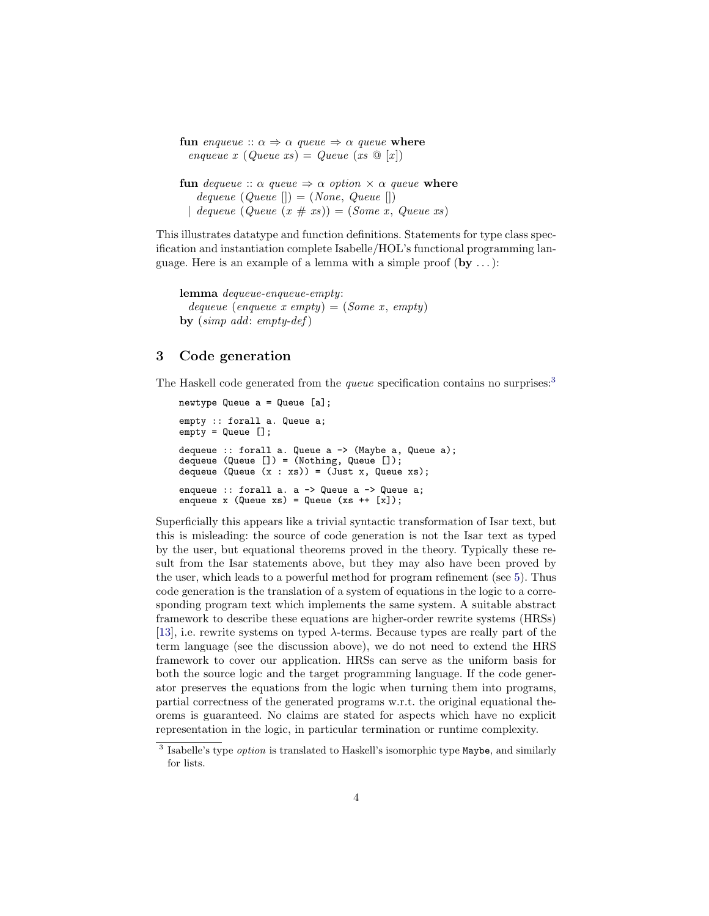fun enqueue  $\alpha \Rightarrow \alpha$  queue  $\Rightarrow \alpha$  queue where enqueue  $x \text{ } (Queue \text{ } xs) = Queue \text{ } (xs \text{ } @ \text{ } [x])$ fun dequeue ::  $\alpha$  queue  $\Rightarrow \alpha$  option  $\times \alpha$  queue where dequeue  $(Queue \parallel) = (None, Queue \parallel)$ | dequeue  $(Queue(x \# xs)) = (Some x, Queue xs)$ 

This illustrates datatype and function definitions. Statements for type class specification and instantiation complete Isabelle/HOL's functional programming language. Here is an example of a lemma with a simple proof  $(\mathbf{by} ...)$ :

lemma dequeue-enqueue-empty: dequeue (enqueue x empty) = (Some x, empty) by  $(simp \ add: empty-def)$ 

### <span id="page-3-0"></span>3 Code generation

The Haskell code generated from the *queue* specification contains no surprises:<sup>[3](#page-3-1)</sup>

```
newtype Queue a = Queue [a];
empty :: forall a. Queue a;
\text{empty} = \text{Queue} [];
dequeue :: forall a. Queue a -> (Maybe a, Queue a);
dequeue (Queue []) = (Nothing, Queue []);
dequeue (Queue (x : xs)) = (Just x, Queue xs);
enqueue :: forall a. a -> Queue a -> Queue a;
enqueue x (Queue xs) = Queue (xs + f[x]);
```
Superficially this appears like a trivial syntactic transformation of Isar text, but this is misleading: the source of code generation is not the Isar text as typed by the user, but equational theorems proved in the theory. Typically these result from the Isar statements above, but they may also have been proved by the user, which leads to a powerful method for program refinement (see [5\)](#page-11-0). Thus code generation is the translation of a system of equations in the logic to a corresponding program text which implements the same system. A suitable abstract framework to describe these equations are higher-order rewrite systems (HRSs) [\[13\]](#page-14-8), i.e. rewrite systems on typed  $\lambda$ -terms. Because types are really part of the term language (see the discussion above), we do not need to extend the HRS framework to cover our application. HRSs can serve as the uniform basis for both the source logic and the target programming language. If the code generator preserves the equations from the logic when turning them into programs, partial correctness of the generated programs w.r.t. the original equational theorems is guaranteed. No claims are stated for aspects which have no explicit representation in the logic, in particular termination or runtime complexity.

<span id="page-3-1"></span> $3$  Isabelle's type *option* is translated to Haskell's isomorphic type Maybe, and similarly for lists.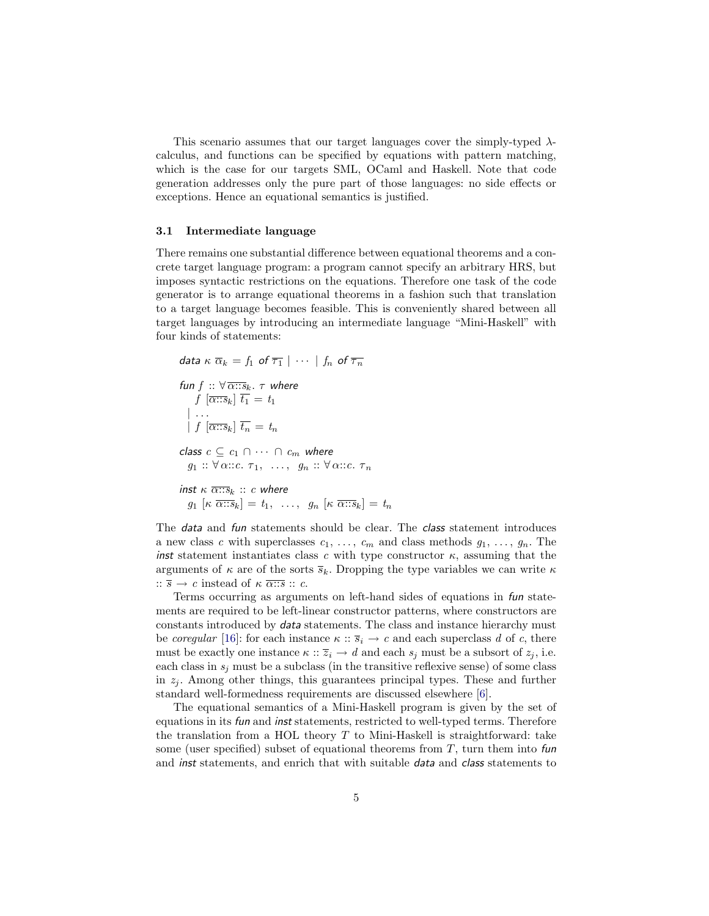This scenario assumes that our target languages cover the simply-typed  $\lambda$ calculus, and functions can be specified by equations with pattern matching, which is the case for our targets SML, OCaml and Haskell. Note that code generation addresses only the pure part of those languages: no side effects or exceptions. Hence an equational semantics is justified.

#### 3.1 Intermediate language

There remains one substantial difference between equational theorems and a concrete target language program: a program cannot specify an arbitrary HRS, but imposes syntactic restrictions on the equations. Therefore one task of the code generator is to arrange equational theorems in a fashion such that translation to a target language becomes feasible. This is conveniently shared between all target languages by introducing an intermediate language "Mini-Haskell" with four kinds of statements:

data 
$$
\kappa \overline{\alpha}_k = f_1
$$
 of  $\overline{\tau}_1 | \cdots | f_n$  of  $\overline{\tau}_n$   
\n $\operatorname{fun} f :: \forall \overline{\alpha::s_k}$ .  $\tau$  where  
\n $f [\overline{\alpha::s_k}] \overline{t_1} = t_1$   
\n $\cdots$   
\n $| f [\overline{\alpha::s_k}] \overline{t_n} = t_n$   
\n $\operatorname{class} c \subseteq c_1 \cap \cdots \cap c_m$  where  
\n $g_1 :: \forall \alpha :: c. \tau_1, \cdots, g_n :: \forall \alpha :: c. \tau_n$   
\n $\operatorname{inst} \kappa \overline{\alpha::s_k} :: c \text{ where}$   
\n $g_1 [\kappa \overline{\alpha::s_k}] = t_1, \cdots, g_n [\kappa \overline{\alpha::s_k}] = t_n$ 

The *data* and *fun* statements should be clear. The *class* statement introduces a new class c with superclasses  $c_1, \ldots, c_m$  and class methods  $g_1, \ldots, g_n$ . The inst statement instantiates class c with type constructor  $\kappa$ , assuming that the arguments of  $\kappa$  are of the sorts  $\bar{s}_k$ . Dropping the type variables we can write  $\kappa$ ::  $\overline{s} \rightarrow c$  instead of  $\kappa \overline{\alpha::s}$  :: c.

Terms occurring as arguments on left-hand sides of equations in fun statements are required to be left-linear constructor patterns, where constructors are constants introduced by data statements. The class and instance hierarchy must be coregular [\[16\]](#page-14-9): for each instance  $\kappa$  ::  $\bar{s}_i \rightarrow c$  and each superclass d of c, there must be exactly one instance  $\kappa$  ::  $\overline{z}_i \to d$  and each  $s_i$  must be a subsort of  $z_i$ , i.e. each class in  $s_i$  must be a subclass (in the transitive reflexive sense) of some class in  $z_i$ . Among other things, this guarantees principal types. These and further standard well-formedness requirements are discussed elsewhere [\[6\]](#page-14-1).

The equational semantics of a Mini-Haskell program is given by the set of equations in its fun and inst statements, restricted to well-typed terms. Therefore the translation from a HOL theory  $T$  to Mini-Haskell is straightforward: take some (user specified) subset of equational theorems from  $T$ , turn them into fun and *inst* statements, and enrich that with suitable *data* and *class* statements to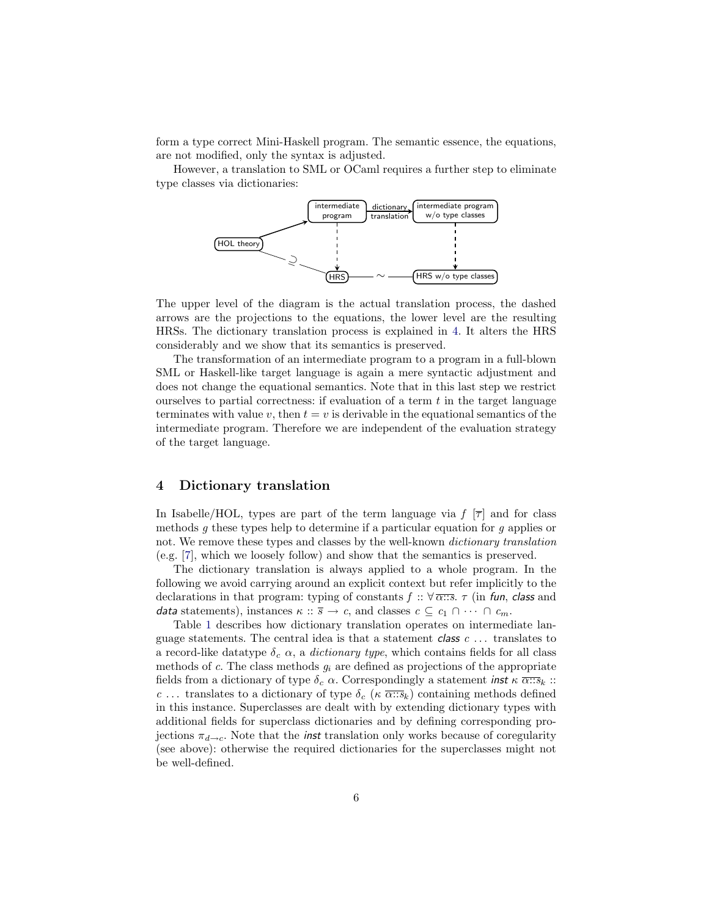form a type correct Mini-Haskell program. The semantic essence, the equations, are not modified, only the syntax is adjusted.

However, a translation to SML or OCaml requires a further step to eliminate type classes via dictionaries:



The upper level of the diagram is the actual translation process, the dashed arrows are the projections to the equations, the lower level are the resulting HRSs. The dictionary translation process is explained in [4.](#page-5-0) It alters the HRS considerably and we show that its semantics is preserved.

The transformation of an intermediate program to a program in a full-blown SML or Haskell-like target language is again a mere syntactic adjustment and does not change the equational semantics. Note that in this last step we restrict ourselves to partial correctness: if evaluation of a term  $t$  in the target language terminates with value v, then  $t = v$  is derivable in the equational semantics of the intermediate program. Therefore we are independent of the evaluation strategy of the target language.

#### <span id="page-5-0"></span>4 Dictionary translation

In Isabelle/HOL, types are part of the term language via  $f(\bar{\tau})$  and for class methods  $g$  these types help to determine if a particular equation for  $g$  applies or not. We remove these types and classes by the well-known dictionary translation (e.g. [\[7\]](#page-14-6), which we loosely follow) and show that the semantics is preserved.

The dictionary translation is always applied to a whole program. In the following we avoid carrying around an explicit context but refer implicitly to the declarations in that program: typing of constants  $f :: \forall \overline{\alpha::s}$ .  $\tau$  (in fun, class and data statements), instances  $\kappa$  ::  $\overline{s} \to c$ , and classes  $c \subseteq c_1 \cap \cdots \cap c_m$ .

Table [1](#page-6-0) describes how dictionary translation operates on intermediate language statements. The central idea is that a statement class  $c \dots$  translates to a record-like datatype  $\delta_c$   $\alpha$ , a *dictionary type*, which contains fields for all class methods of  $c$ . The class methods  $g_i$  are defined as projections of the appropriate fields from a dictionary of type  $\delta_c \alpha$ . Correspondingly a statement inst  $\kappa \overline{\alpha::s_k}$ : c ... translates to a dictionary of type  $\delta_c$  ( $\kappa \overline{\alpha} : s_k$ ) containing methods defined in this instance. Superclasses are dealt with by extending dictionary types with additional fields for superclass dictionaries and by defining corresponding projections  $\pi_{d\rightarrow c}$ . Note that the *inst* translation only works because of coregularity (see above): otherwise the required dictionaries for the superclasses might not be well-defined.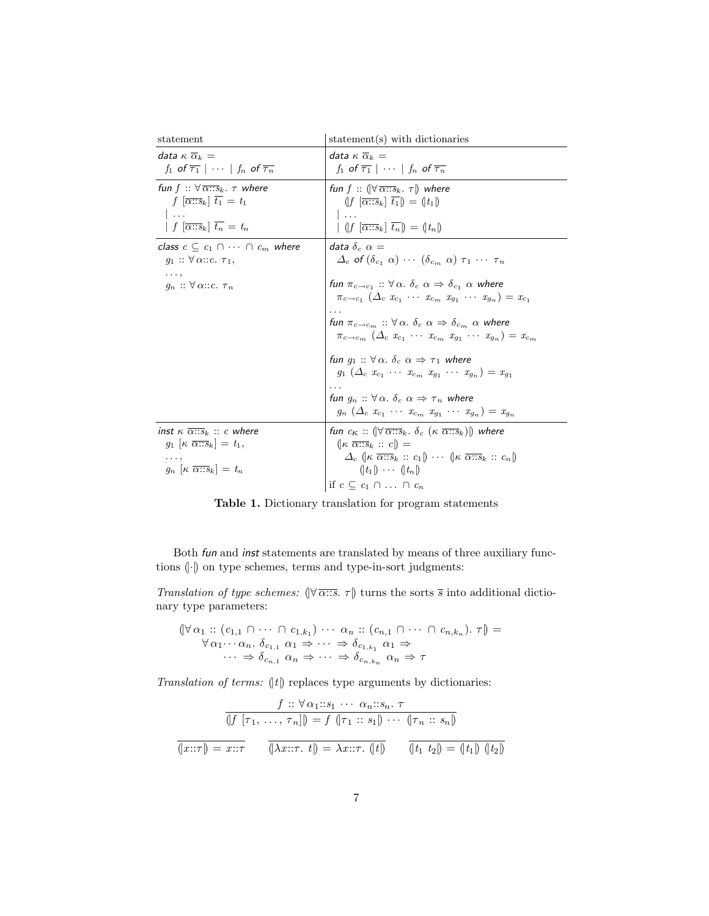| statement                                                                                                                                                                              | statement(s) with dictionaries                                                                                                                                                                                                                                                                                                                                                                                                                                                                                                                                                                                                                                                                                                            |
|----------------------------------------------------------------------------------------------------------------------------------------------------------------------------------------|-------------------------------------------------------------------------------------------------------------------------------------------------------------------------------------------------------------------------------------------------------------------------------------------------------------------------------------------------------------------------------------------------------------------------------------------------------------------------------------------------------------------------------------------------------------------------------------------------------------------------------------------------------------------------------------------------------------------------------------------|
| data $\kappa \overline{\alpha}_k =$<br>$f_1$ of $\overline{\tau_1}$ $\cdots$ $\cdot$ $f_n$ of $\overline{\tau_n}$                                                                      | data $\kappa \overline{\alpha}_k =$<br>$f_1$ of $\overline{\tau_1}$ $\cdots$ $\cdot$ $f_n$ of $\overline{\tau_n}$                                                                                                                                                                                                                                                                                                                                                                                                                                                                                                                                                                                                                         |
| fun $f :: \forall \overline{\alpha::s_k}$ . $\tau$ where<br>$f\left[\overline{\alpha::s_k}\right]\overline{t_1} = t_1$<br>  $f\left[\overline{\alpha::s_k}\right]\overline{t_n} = t_n$ | fun $f :: (\forall \overline{\alpha::s_k}$ . $\tau)$ where<br>$\left( \left f\right  \left[ \overline{\alpha} \right] :s_{k} \right  t_{1} \right) = \left( \left t_{1}\right  \right)$<br>$\left( \left f\right  \left  \overline{\alpha::s}_{k}\right  \overline{t_{n}} \right  = \left  \left  t_{n}\right  \right $                                                                                                                                                                                                                                                                                                                                                                                                                   |
| class $c \subseteq c_1 \cap \cdots \cap c_m$ where<br>$q_1 :: \forall \alpha :: c. \tau_1$ ,<br>. ,                                                                                    | data $\delta_c$ $\alpha =$<br>$\Delta_c$ of $(\delta_{c_1} \alpha) \cdots (\delta_{c_m} \alpha) \tau_1 \cdots \tau_n$                                                                                                                                                                                                                                                                                                                                                                                                                                                                                                                                                                                                                     |
| $q_n$ : $\forall \alpha$ : $c. \tau_n$                                                                                                                                                 | fun $\pi_{c \to c_1}$ : $\forall \alpha$ . $\delta_c \alpha \Rightarrow \delta_{c_1} \alpha$ where<br>$\pi_{c \to c_1}$ $(\Delta_c x_{c_1} \cdots x_{c_m} x_{q_1} \cdots x_{q_n}) = x_{c_1}$<br>fun $\pi_{c \to c_m}$ :: $\forall \alpha$ . $\delta_c \alpha \Rightarrow \delta_{c_m} \alpha$ where<br>$\pi_{c \to c_m}$ $(\Delta_c x_{c_1} \cdots x_{c_m} x_{g_1} \cdots x_{g_n}) = x_{c_m}$<br>fun $g_1$ :: $\forall \alpha$ . $\delta_c \alpha \Rightarrow \tau_1$ where<br>$g_1$ $(\Delta_c x_{c_1} \cdots x_{c_m} x_{g_1} \cdots x_{g_n}) = x_{g_1}$<br>fun $g_n$ : $\forall \alpha$ . $\delta_c$ $\alpha \Rightarrow \tau_n$ where<br>$g_n \; (\Delta_c \; x_{c_1} \; \cdots \; x_{c_m} \; x_{g_1} \; \cdots \; x_{g_n}) = x_{g_n}$ |
| inst $\kappa \overline{\alpha::s_k} :: c$ where<br>$q_1 \;  \kappa \; \overline{\alpha::s}_k  = t_1,$<br>.<br>$q_n \ [\kappa \ \overline{\alpha::s_k}] = t_n$                          | fun $c_{\kappa}$ :: $(\forall \overline{\alpha::s_k}$ . $\delta_c$ $(\kappa \overline{\alpha::s_k})$ ) where<br>$(\kappa \overline{\alpha::s_k} :: c)$<br>$\Delta_c$ $\left(\kappa \ \overline{\alpha::s_k} :: c_1\right) \ \cdots \ \left(\kappa \ \overline{\alpha::s_k} :: c_n\right)$<br>$(  t_1  ) \cdots ( t_n  )$<br>if $c \subset c_1 \cap \ldots \cap c_n$                                                                                                                                                                                                                                                                                                                                                                       |

<span id="page-6-0"></span>Table 1. Dictionary translation for program statements

Both fun and inst statements are translated by means of three auxiliary functions  $(\cdot)$  on type schemes, terms and type-in-sort judgments:

Translation of type schemes:  $(\forall \overline{\alpha::s}. \tau)$  turns the sorts  $\overline{s}$  into additional dictionary type parameters:

$$
(\forall \alpha_1 :: (c_{1,1} \cap \cdots \cap c_{1,k_1}) \cdots \alpha_n :: (c_{n,1} \cap \cdots \cap c_{n,k_n}). \tau) =
$$
  
\n
$$
\forall \alpha_1 \cdots \alpha_n. \delta_{c_{1,1}} \alpha_1 \Rightarrow \cdots \Rightarrow \delta_{c_{1,k_1}} \alpha_1 \Rightarrow
$$
  
\n
$$
\cdots \Rightarrow \delta_{c_{n,1}} \alpha_n \Rightarrow \cdots \Rightarrow \delta_{c_{n,k_n}} \alpha_n \Rightarrow \tau
$$

Translation of terms:  $(|t|)$  replaces type arguments by dictionaries:

$$
\frac{f :: \forall \alpha_1 :: s_1 \cdots \alpha_n :: s_n. \ \tau}{(f [\tau_1, \ \ldots, \ \tau_n]) = f (\tau_1 \ :: \ s_1) \ \cdots \ (\tau_n \ :: \ s_n)}
$$
\n
$$
\frac{f :: \forall \alpha_1 :: s_1 \ \cdots \ \alpha_n :: s_n}{(x :: \tau)} = f (\tau_1 \ :: \ s_1) \ \cdots \ \frac{f}{(x \cdot x \cdot \tau)} = f \tau_1 \ \cdots \ \frac{f}{(x \cdot \tau)} = f \tau_1 \ \cdots \ \frac{f}{(x \cdot \tau)} = f \tau_1 \ \cdots \ \frac{f}{(x \cdot \tau)} = f \tau_1 \ \cdots \ \frac{f}{(x \cdot \tau)} = f \tau_1 \ \cdots \ \frac{f}{(x \cdot \tau)} = f \tau_1 \ \cdots \ \frac{f}{(x \cdot \tau)} = f \tau_1 \ \cdots \ \frac{f}{(x \cdot \tau)} = f \tau_1 \ \cdots \ \frac{f}{(x \cdot \tau)} = f \tau_1 \ \cdots \ \frac{f}{(x \cdot \tau)} = f \tau_1 \ \cdots \ \frac{f}{(x \cdot \tau)} = f \tau_1 \ \cdots \ \frac{f}{(x \cdot \tau)} = f \tau_1 \ \cdots \ \frac{f}{(x \cdot \tau)} = f \tau_1 \ \cdots \ \frac{f}{(x \cdot \tau)} = f \tau_1 \ \cdots \ \frac{f}{(x \cdot \tau)} = f \tau_1 \ \cdots \ \frac{f}{(x \cdot \tau)} = f \tau_1 \ \cdots \ \frac{f}{(x \cdot \tau)} = f \tau_1 \ \cdots \ \frac{f}{(x \cdot \tau)} = f \tau_1 \ \cdots \ \frac{f}{(x \cdot \tau)} = f \tau_1 \ \cdots \ \frac{f}{(x \cdot \tau)} = f \tau_1 \ \cdots \ \frac{f}{(x \cdot \tau)} = f \tau_1 \ \cdots \ \frac{f}{(x \cdot \tau)} = f \tau_1 \ \cdots \ \frac{f}{(x \cdot \tau)} = f \tau_1 \ \cdots \ \frac{f}{(x \cdot \tau)} = f \tau_1 \ \cdots \ \frac{f}{(x \cdot \tau)} = f \tau_1 \ \cdots \ \frac{f}{(x \cdot \tau)} = f \tau_1 \ \cdots \ \frac{f}{(x \cdot \tau)} = f \tau_1 \ \cdots \ \frac{f
$$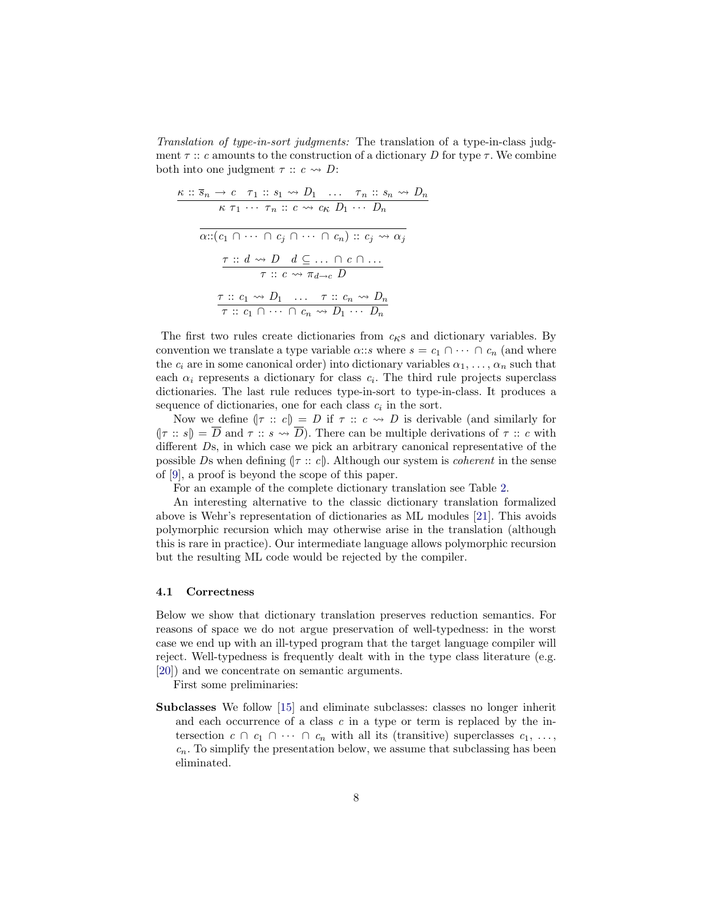Translation of type-in-sort judgments: The translation of a type-in-class judgment  $\tau$  :: c amounts to the construction of a dictionary D for type  $\tau$ . We combine both into one judgment  $\tau :: c \leadsto D$ :

$$
\frac{\kappa :: \overline{s}_n \to c \quad \tau_1 :: s_1 \leadsto D_1 \quad \dots \quad \tau_n :: s_n \leadsto D_n}{\kappa \quad \tau_1 \cdots \tau_n :: c \leadsto c_K \quad D_1 \cdots \quad D_n}
$$
\n
$$
\overline{\alpha :: (c_1 \cap \cdots \cap c_j \cap \cdots \cap c_n) :: c_j \leadsto \alpha_j}
$$
\n
$$
\overline{\tau :: d \leadsto D \quad d \subseteq \dots \cap c \cap \dots}
$$
\n
$$
\overline{\tau :: c \leadsto \pi_{d \to c} D}
$$
\n
$$
\overline{\tau :: c_1 \cap \dots \cap c_n \leadsto D_1 \quad \dots \quad \tau :: c_n \leadsto D_n}
$$

The first two rules create dictionaries from  $c_{\kappa}$ s and dictionary variables. By convention we translate a type variable  $\alpha::s$  where  $s = c_1 \cap \cdots \cap c_n$  (and where the  $c_i$  are in some canonical order) into dictionary variables  $\alpha_1, \ldots, \alpha_n$  such that each  $\alpha_i$  represents a dictionary for class  $c_i$ . The third rule projects superclass dictionaries. The last rule reduces type-in-sort to type-in-class. It produces a sequence of dictionaries, one for each class  $c_i$  in the sort.

Now we define  $(\tau :: c) = D$  if  $\tau :: c \leadsto D$  is derivable (and similarly for  $(\tau : s) = \overline{D}$  and  $\tau : s \leadsto \overline{D}$ . There can be multiple derivations of  $\tau : c$  with different Ds, in which case we pick an arbitrary canonical representative of the possible Ds when defining  $(\tau : c)$ . Although our system is *coherent* in the sense of [\[9\]](#page-14-10), a proof is beyond the scope of this paper.

For an example of the complete dictionary translation see Table [2.](#page-8-0)

An interesting alternative to the classic dictionary translation formalized above is Wehr's representation of dictionaries as ML modules [\[21\]](#page-14-11). This avoids polymorphic recursion which may otherwise arise in the translation (although this is rare in practice). Our intermediate language allows polymorphic recursion but the resulting ML code would be rejected by the compiler.

#### 4.1 Correctness

Below we show that dictionary translation preserves reduction semantics. For reasons of space we do not argue preservation of well-typedness: in the worst case we end up with an ill-typed program that the target language compiler will reject. Well-typedness is frequently dealt with in the type class literature (e.g. [\[20\]](#page-14-12)) and we concentrate on semantic arguments.

First some preliminaries:

Subclasses We follow [\[15\]](#page-14-13) and eliminate subclasses: classes no longer inherit and each occurrence of a class  $c$  in a type or term is replaced by the intersection  $c \cap c_1 \cap \cdots \cap c_n$  with all its (transitive) superclasses  $c_1, \ldots,$  $c_n$ . To simplify the presentation below, we assume that subclassing has been eliminated.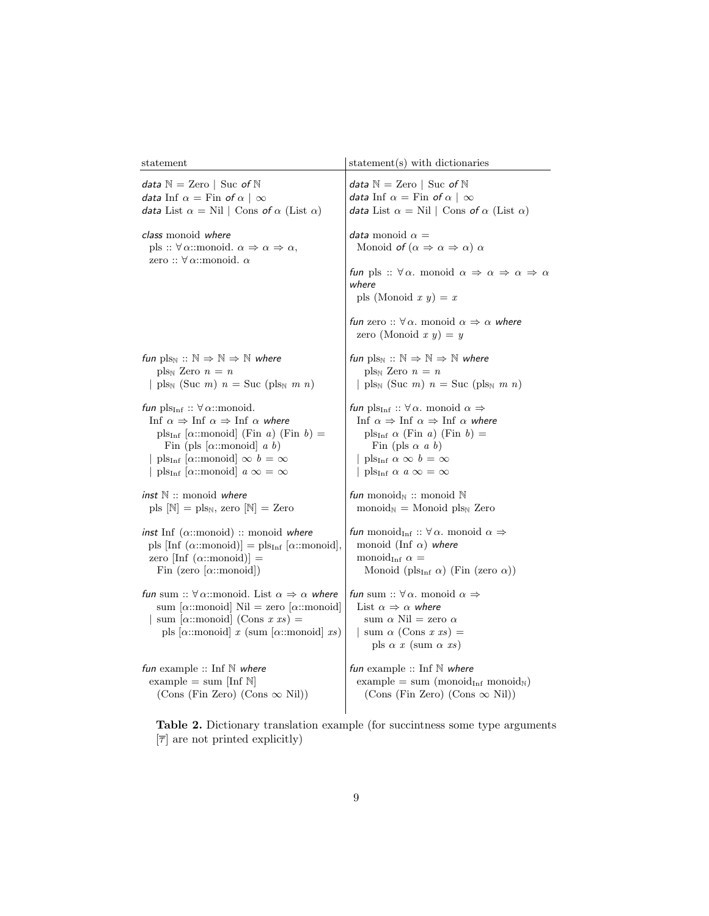| statement                                                                                                                                                                                                                                       | statement(s) with dictionaries                                                                                                                                                                                                                                                                                                           |
|-------------------------------------------------------------------------------------------------------------------------------------------------------------------------------------------------------------------------------------------------|------------------------------------------------------------------------------------------------------------------------------------------------------------------------------------------------------------------------------------------------------------------------------------------------------------------------------------------|
| data $\mathbb{N} =$ Zero   Suc of $\mathbb{N}$                                                                                                                                                                                                  | data $\mathbb{N} =$ Zero   Suc of $\mathbb{N}$                                                                                                                                                                                                                                                                                           |
| data Inf $\alpha =$ Fin of $\alpha \mid \infty$                                                                                                                                                                                                 | data Inf $\alpha =$ Fin of $\alpha \mid \infty$                                                                                                                                                                                                                                                                                          |
| data List $\alpha = Nil \mid Cons \text{ of } \alpha \text{ (List } \alpha)$                                                                                                                                                                    | data List $\alpha = Nil \mid Cons \text{ of } \alpha \text{ (List } \alpha)$                                                                                                                                                                                                                                                             |
| class monoid where<br>pls :: $\forall \alpha$ ::monoid. $\alpha \Rightarrow \alpha \Rightarrow \alpha$ ,<br>zero :: $\forall \alpha$ ::monoid. $\alpha$                                                                                         | <i>data</i> monoid $\alpha =$<br>Monoid of $(\alpha \Rightarrow \alpha \Rightarrow \alpha)$ $\alpha$<br>fun pls :: $\forall \alpha$ . monoid $\alpha \Rightarrow \alpha \Rightarrow \alpha$<br>where<br>pls (Monoid $x y$ ) = $x$<br>fun zero :: $\forall \alpha$ . monoid $\alpha \Rightarrow \alpha$ where<br>zero (Monoid $x y$ ) = y |
| fun $\text{pls}_{\mathbb{N}}$ :: $\mathbb{N} \Rightarrow \mathbb{N} \Rightarrow \mathbb{N}$ where                                                                                                                                               | fun $\text{pls}_{\mathbb{N}}$ :: $\mathbb{N} \Rightarrow \mathbb{N} \Rightarrow \mathbb{N}$ where                                                                                                                                                                                                                                        |
| $pls_N$ Zero $n = n$                                                                                                                                                                                                                            | $pls_N$ Zero $n = n$                                                                                                                                                                                                                                                                                                                     |
| pls <sub>N</sub> (Suc <i>m</i> ) $n =$ Suc (pls <sub>N</sub> <i>m n</i> )                                                                                                                                                                       | pls <sub>N</sub> (Suc <i>m</i> ) $n =$ Suc (pls <sub>N</sub> <i>m n</i> )                                                                                                                                                                                                                                                                |
| fun pls <sub>Inf</sub> :: $\forall \alpha$ : monoid.                                                                                                                                                                                            | fun pls <sub>Inf</sub> :: $\forall \alpha$ . monoid $\alpha \Rightarrow$                                                                                                                                                                                                                                                                 |
| Inf $\alpha \Rightarrow$ Inf $\alpha \Rightarrow$ Inf $\alpha$ where                                                                                                                                                                            | Inf $\alpha \Rightarrow$ Inf $\alpha \Rightarrow$ Inf $\alpha$ where                                                                                                                                                                                                                                                                     |
| pls <sub>Inf</sub> [ $\alpha$ ::monoid] (Fin <i>a</i> ) (Fin <i>b</i> ) =                                                                                                                                                                       | $plsInf \alpha$ (Fin a) (Fin b) =                                                                                                                                                                                                                                                                                                        |
| Fin (pls [ $\alpha$ ::monoid] <i>a b</i> )                                                                                                                                                                                                      | Fin (pls $\alpha$ a b)                                                                                                                                                                                                                                                                                                                   |
| pls <sub>Inf</sub> [ $\alpha$ ::monoid] $\infty$ $b = \infty$                                                                                                                                                                                   | pls <sub>Inf</sub> $\alpha \infty b = \infty$                                                                                                                                                                                                                                                                                            |
| pls <sub>Inf</sub> [ $\alpha$ ::monoid] $a \infty = \infty$                                                                                                                                                                                     | pls <sub>Inf</sub> $\alpha$ $a \infty = \infty$                                                                                                                                                                                                                                                                                          |
| inst $\mathbb N$ :: monoid where                                                                                                                                                                                                                | fun monoid <sub>N</sub> :: monoid $\mathbb N$                                                                                                                                                                                                                                                                                            |
| pls $[N] = \text{pls}_{N}$ , zero $[N] = \text{Zero}$                                                                                                                                                                                           | $\mathit{monoid}_{\mathbb{N}}\,=\,\mathit{Monoid}\,\, \mathit{pls}_{\mathbb{N}}$ Zero                                                                                                                                                                                                                                                    |
| inst Inf $(\alpha$ ::monoid) :: monoid where                                                                                                                                                                                                    | fun monoid <sub>Inf</sub> :: $\forall \alpha$ . monoid $\alpha \Rightarrow$                                                                                                                                                                                                                                                              |
| pls [Inf $(\alpha$ ::monoid]] = pls <sub>Inf</sub> [ $\alpha$ ::monoid],                                                                                                                                                                        | monoid (Inf $\alpha$ ) where                                                                                                                                                                                                                                                                                                             |
| zero [Inf $(\alpha::monoid)$ ] =                                                                                                                                                                                                                | monoid <sub>Inf</sub> $\alpha =$                                                                                                                                                                                                                                                                                                         |
| Fin (zero [ $\alpha$ : monoid])                                                                                                                                                                                                                 | Monoid (pls <sub>Inf</sub> $\alpha$ ) (Fin (zero $\alpha$ ))                                                                                                                                                                                                                                                                             |
| fun sum :: $\forall \alpha$ ::monoid. List $\alpha \Rightarrow \alpha$ where<br>sum [ $\alpha$ ::monoid] Nil = zero [ $\alpha$ ::monoid]<br>  sum $[\alpha$ ::monoid] (Cons x xs) =<br>pls [ $\alpha$ ::monoid] x (sum [ $\alpha$ ::monoid] xs) | fun sum :: $\forall \alpha$ . monoid $\alpha \Rightarrow$<br>List $\alpha \Rightarrow \alpha$ where<br>sum $\alpha$ Nil = zero $\alpha$<br>$\vert$ sum $\alpha$ (Cons x xs) =<br>pls $\alpha$ x (sum $\alpha$ xs)                                                                                                                        |
| fun example $::$ Inf $\mathbb N$ where                                                                                                                                                                                                          | fun example $::$ Inf $\mathbb N$ where                                                                                                                                                                                                                                                                                                   |
| example = sum [Inf $\mathbb{N}$ ]                                                                                                                                                                                                               | example = sum (monoid <sub>Inf</sub> monoid <sub>N</sub> )                                                                                                                                                                                                                                                                               |
| $(Cons (Fin Zero) (Cons \in Nil))$                                                                                                                                                                                                              | $(Cons (Fin Zero) (Cons \in Nil))$                                                                                                                                                                                                                                                                                                       |

<span id="page-8-0"></span>Table 2. Dictionary translation example (for succintness some type arguments  $[\overline{\tau}]$  are not printed explicitly)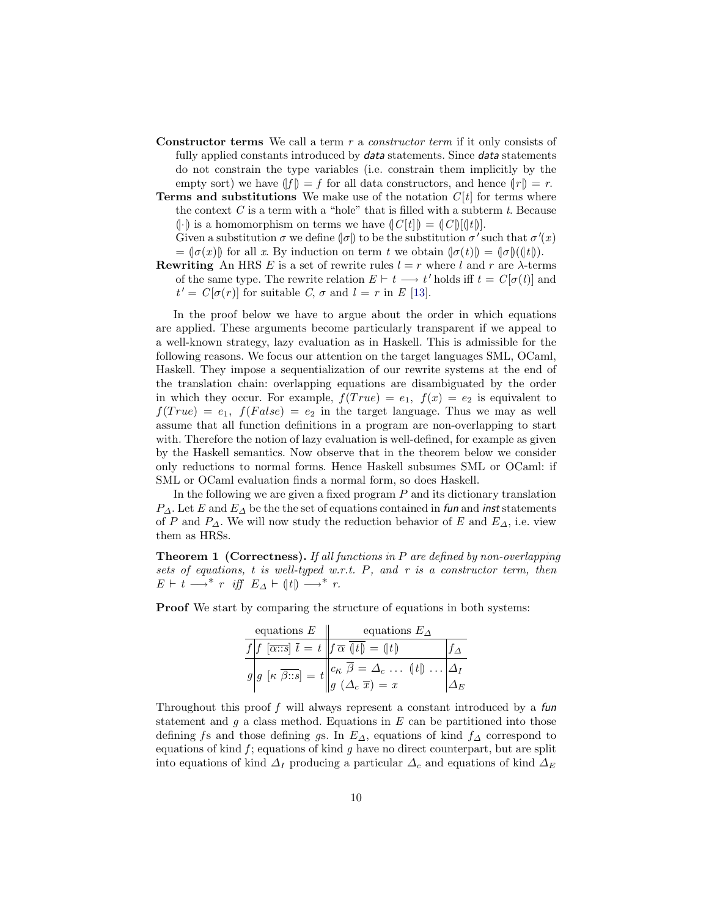- Constructor terms We call a term r a constructor term if it only consists of fully applied constants introduced by *data* statements. Since *data* statements do not constrain the type variables (i.e. constrain them implicitly by the empty sort) we have  $(f) = f$  for all data constructors, and hence  $(r) = r$ .
- **Terms and substitutions** We make use of the notation  $C[t]$  for terms where the context  $C$  is a term with a "hole" that is filled with a subterm  $t$ . Because  $(|\cdot|)$  is a homomorphism on terms we have  $||C[t]|| = ||C||[t||]$ .

Given a substitution  $\sigma$  we define  $(\sigma)$  to be the substitution  $\sigma'$  such that  $\sigma'(x)$  $=$   $\|\sigma(x)\|$  for all x. By induction on term t we obtain  $\|\sigma(t)\| = \|\sigma\|(\|t\|).$ 

**Rewriting** An HRS E is a set of rewrite rules  $l = r$  where l and r are  $\lambda$ -terms of the same type. The rewrite relation  $E \vdash t \longrightarrow t'$  holds iff  $t = C[\sigma(l)]$  and  $t' = C[\sigma(r)]$  for suitable C,  $\sigma$  and  $l = r$  in E [\[13\]](#page-14-8).

In the proof below we have to argue about the order in which equations are applied. These arguments become particularly transparent if we appeal to a well-known strategy, lazy evaluation as in Haskell. This is admissible for the following reasons. We focus our attention on the target languages SML, OCaml, Haskell. They impose a sequentialization of our rewrite systems at the end of the translation chain: overlapping equations are disambiguated by the order in which they occur. For example,  $f(True) = e_1$ ,  $f(x) = e_2$  is equivalent to  $f(True) = e_1$ ,  $f(False) = e_2$  in the target language. Thus we may as well assume that all function definitions in a program are non-overlapping to start with. Therefore the notion of lazy evaluation is well-defined, for example as given by the Haskell semantics. Now observe that in the theorem below we consider only reductions to normal forms. Hence Haskell subsumes SML or OCaml: if SML or OCaml evaluation finds a normal form, so does Haskell.

In the following we are given a fixed program  $P$  and its dictionary translation  $P_{\Delta}$ . Let E and  $E_{\Delta}$  be the the set of equations contained in fun and inst statements of P and  $P_{\Delta}$ . We will now study the reduction behavior of E and  $E_{\Delta}$ , i.e. view them as HRSs.

**Theorem 1 (Correctness).** If all functions in  $P$  are defined by non-overlapping sets of equations, t is well-typed w.r.t. P, and r is a constructor term, then  $E \vdash t \longrightarrow^* r$  iff  $E_{\Delta} \vdash (\vert t \vert) \longrightarrow^* r$ .

**Proof** We start by comparing the structure of equations in both systems:

| equations $E$                                                                    | equations $E_{\Delta}$                                                                                                                                  |  |
|----------------------------------------------------------------------------------|---------------------------------------------------------------------------------------------------------------------------------------------------------|--|
| $f f(\overline{\alpha::s} \overline{t}=t  f\overline{\alpha} \overline{t})=0 t $ |                                                                                                                                                         |  |
|                                                                                  | $g\overline{g\left[\kappa \overline{\beta :s}\right]} = t\left\Vert c\kappa \overline{\beta} = \Delta_c \dots \left(\exists t\right) \dots \right\Vert$ |  |

Throughout this proof f will always represent a constant introduced by a fun statement and  $g$  a class method. Equations in  $E$  can be partitioned into those defining fs and those defining gs. In  $E_{\Delta}$ , equations of kind  $f_{\Delta}$  correspond to equations of kind  $f$ ; equations of kind  $g$  have no direct counterpart, but are split into equations of kind  $\Delta_I$  producing a particular  $\Delta_c$  and equations of kind  $\Delta_E$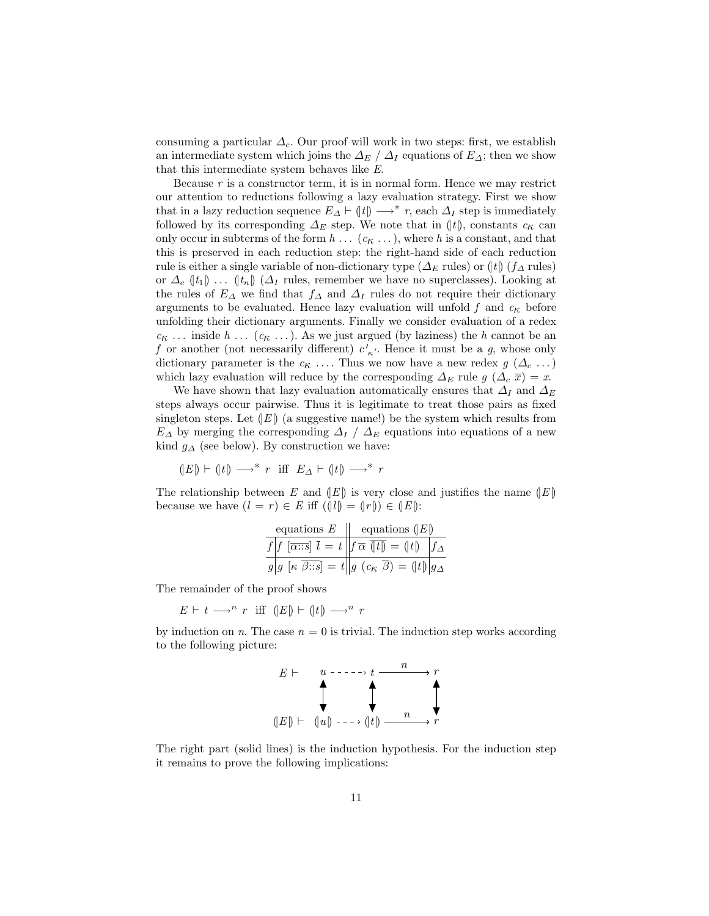consuming a particular  $\Delta_c$ . Our proof will work in two steps: first, we establish an intermediate system which joins the  $\Delta_E / \Delta_I$  equations of  $E_{\Delta}$ ; then we show that this intermediate system behaves like E.

Because  $r$  is a constructor term, it is in normal form. Hence we may restrict our attention to reductions following a lazy evaluation strategy. First we show that in a lazy reduction sequence  $E_{\Delta} \vdash (|t|) \longrightarrow^* r$ , each  $\Delta_I$  step is immediately followed by its corresponding  $\Delta_E$  step. We note that in (|t|), constants  $c_K$  can only occur in subterms of the form  $h \ldots (c_{\kappa} \ldots)$ , where h is a constant, and that this is preserved in each reduction step: the right-hand side of each reduction rule is either a single variable of non-dictionary type ( $\Delta_E$  rules) or  $\left|\downarrow\right\rangle$  ( $f_\Delta$  rules) or  $\Delta_c$  ( $|t_1|$ ) ... ( $|t_n|$ ) ( $\Delta_I$  rules, remember we have no superclasses). Looking at the rules of  $E_{\Delta}$  we find that  $f_{\Delta}$  and  $\Delta_I$  rules do not require their dictionary arguments to be evaluated. Hence lazy evaluation will unfold f and  $c_K$  before unfolding their dictionary arguments. Finally we consider evaluation of a redex  $c_K \ldots$  inside  $h \ldots (c_K \ldots)$ . As we just argued (by laziness) the h cannot be an f or another (not necessarily different)  $c'_{\kappa'}$ . Hence it must be a g, whose only dictionary parameter is the  $c_{\kappa}$  .... Thus we now have a new redex  $g(\Delta_c \dots)$ which lazy evaluation will reduce by the corresponding  $\Delta_E$  rule  $g(\Delta_c \bar{x}) = x$ .

We have shown that lazy evaluation automatically ensures that  $\Delta_I$  and  $\Delta_E$ steps always occur pairwise. Thus it is legitimate to treat those pairs as fixed singleton steps. Let  $(E)$  (a suggestive name!) be the system which results from  $E_{\Delta}$  by merging the corresponding  $\Delta_I / \Delta_E$  equations into equations of a new kind  $g_{\Delta}$  (see below). By construction we have:

$$
(|E|) \vdash (|t|) \longrightarrow^* r
$$
 iff  $E_{\Delta} \vdash (|t|) \longrightarrow^* r$ 

The relationship between E and  $(E)$  is very close and justifies the name  $(E)$ because we have  $(l = r) \in E$  iff  $(|l|) = (|r|) \in (|E|)$ :

equations 
$$
E
$$
 equations ( $E$ )  
\n $f \int [\overline{\alpha::s}] \overline{t} = t \quad f \overline{\alpha} \overline{\overline{\langle t \rangle}} = \langle t \rangle \overline{\langle t \rangle}$   
\n $g|g \overline{\langle \kappa \overline{\beta::s} \rangle} = t |g \overline{\langle c_{\kappa} \overline{\beta} \rangle} = \langle t \rangle g_{\Delta}$ 

The remainder of the proof shows

$$
E \vdash t \longrightarrow^n r \text{ iff } (|E|) \vdash (|t|) \longrightarrow^n r
$$

by induction on n. The case  $n = 0$  is trivial. The induction step works according to the following picture:



The right part (solid lines) is the induction hypothesis. For the induction step it remains to prove the following implications: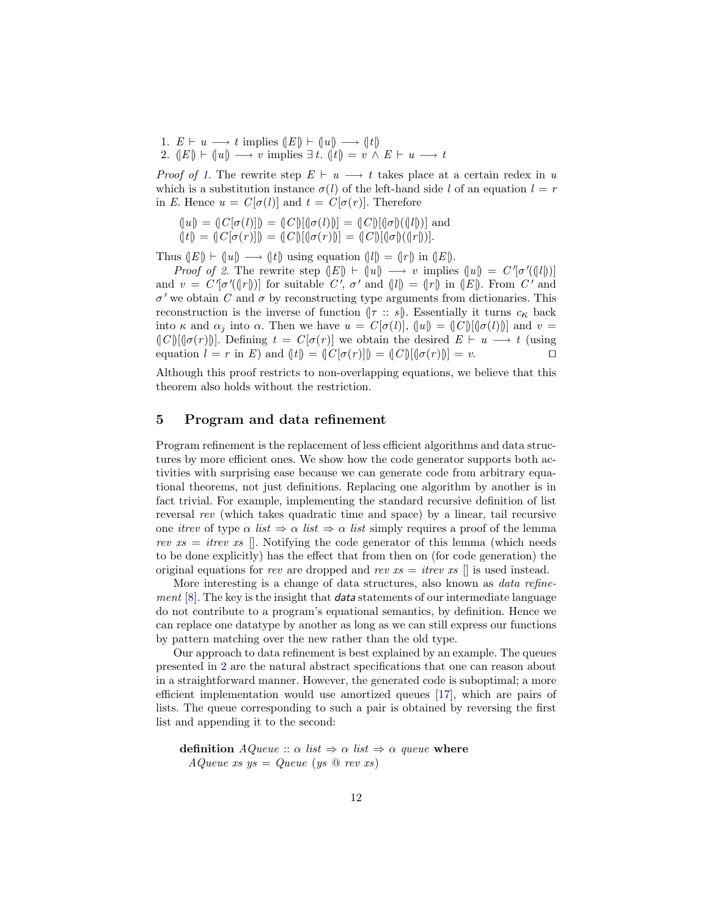<span id="page-11-2"></span><span id="page-11-1"></span>1.  $E \vdash u \longrightarrow t$  implies  $(E) \vdash (|u|) \longrightarrow (|t|)$ 2.  $(E) \vdash (|u|) \longrightarrow v$  implies  $\exists t$ .  $(|t|) = v \land E \vdash u \longrightarrow t$ 

*Proof of [1](#page-11-1)*. The rewrite step  $E \vdash u \longrightarrow t$  takes place at a certain redex in u which is a substitution instance  $\sigma(l)$  of the left-hand side l of an equation  $l = r$ in E. Hence  $u = C[\sigma(t)]$  and  $t = C[\sigma(r)]$ . Therefore

$$
\begin{array}{c} {\mathbb{I}}[u] = {\mathbb{I}}[C[\sigma(l)]] = {\mathbb{I}}[C[{\mathbb{I}}(\sigma(l))] = {\mathbb{I}}[C[{\mathbb{I}}(\sigma(l))] \\ {\mathbb{I}}[t] = {\mathbb{I}}[C[\sigma(r)]] = {\mathbb{I}}[C[{\mathbb{I}}(\sigma(r))] = {\mathbb{I}}[C[{\mathbb{I}}(\sigma(l))] \\ \end{array})
$$

Thus  $(E) \vdash (|u|) \longrightarrow (|t|)$  using equation  $(|l|) = (|r|)$  in  $(|E|)$ .

*Proof of [2](#page-11-2)*. The rewrite step  $(E) \vdash (|u|) \longrightarrow v$  implies  $(|u|) = C'[\sigma'([l])]$ and  $v = C'[\sigma'(\langle r \rangle)]$  for suitable  $C', \sigma'$  and  $\langle l \rangle = \langle r \rangle$  in  $\langle l \rangle$ . From  $C'$  and  $\sigma'$  we obtain C and  $\sigma$  by reconstructing type arguments from dictionaries. This reconstruction is the inverse of function ( $|\tau|$ : s). Essentially it turns  $c_K$  back into  $\kappa$  and  $\alpha_i$  into  $\alpha$ . Then we have  $u = C[\sigma(l)], (|u|) = (|C|)[(\sigma(l))]$  and  $v =$  $||C||[(\sigma(r))]$ . Defining  $t = C[\sigma(r)]$  we obtain the desired  $E \vdash u \longrightarrow t$  (using equation  $l = r$  in E) and  $||t|| = ||C[\sigma(r)]] = ||C[\sigma(r)]] = v.$ 

Although this proof restricts to non-overlapping equations, we believe that this theorem also holds without the restriction.

### <span id="page-11-0"></span>5 Program and data refinement

Program refinement is the replacement of less efficient algorithms and data structures by more efficient ones. We show how the code generator supports both activities with surprising ease because we can generate code from arbitrary equational theorems, not just definitions. Replacing one algorithm by another is in fact trivial. For example, implementing the standard recursive definition of list reversal rev (which takes quadratic time and space) by a linear, tail recursive one *itrev* of type  $\alpha$  *list*  $\Rightarrow \alpha$  *list*  $\Rightarrow \alpha$  *list* simply requires a proof of the lemma rev  $xs = itrev xs$ . Notifying the code generator of this lemma (which needs to be done explicitly) has the effect that from then on (for code generation) the original equations for rev are dropped and rev  $xs = itrev$  is used instead.

More interesting is a change of data structures, also known as data refine*ment* [\[8\]](#page-14-14). The key is the insight that *data* statements of our intermediate language do not contribute to a program's equational semantics, by definition. Hence we can replace one datatype by another as long as we can still express our functions by pattern matching over the new rather than the old type.

Our approach to data refinement is best explained by an example. The queues presented in [2](#page-1-0) are the natural abstract specifications that one can reason about in a straightforward manner. However, the generated code is suboptimal; a more efficient implementation would use amortized queues [\[17\]](#page-14-15), which are pairs of lists. The queue corresponding to such a pair is obtained by reversing the first list and appending it to the second:

definition  $AQueue :: \alpha list \Rightarrow \alpha list \Rightarrow \alpha queue where$  $A Queue xs ys = Queue (ys @ rev xs)$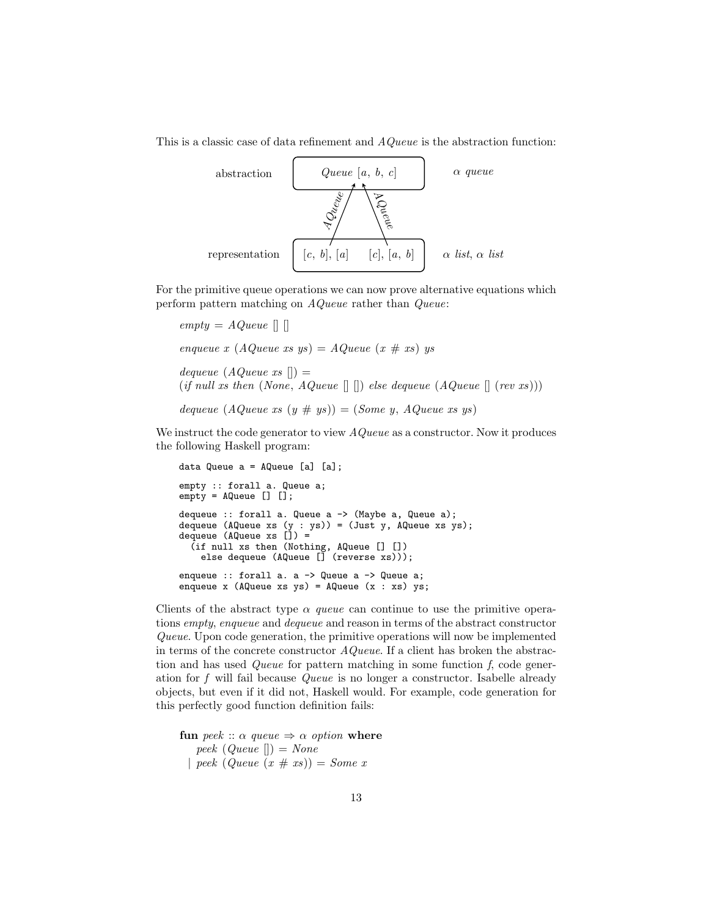This is a classic case of data refinement and AQueue is the abstraction function:



For the primitive queue operations we can now prove alternative equations which perform pattern matching on AQueue rather than Queue:

```
empty = AQueue \parallelenqueue x (AQueue xs ys) = AQueue (x # xs) ysdequeue (A\,Queue\ xs\ [] ) =(if null xs then (None, AQueue \parallel \parallel) else dequeue (AQueue \parallel (rev xs)))
dequeue (A\text{Queue xs} (y \# ys)) = (Some y, A\text{Queue xs} ys))
```
We instruct the code generator to view  $AQueue$  as a constructor. Now it produces the following Haskell program:

```
data Queue a = AQueue [a] [a];
empty :: forall a. Queue a;
empty = AQueue [] [];
dequeue :: forall a. Queue a -> (Maybe a, Queue a);
dequeue (AQueue xs (y : ys)) = (Just y, AQueue xs ys);
dequeue (AQueue xs []) =
  (if null xs then (Nothing, AQueue [] [])
    else dequeue (AQueue [] (reverse xs)));
enqueue :: forall a. a -> Queue a -> Queue a;
enqueue x (AQueue xs ys) = AQueue (x : xs) ys;
```
Clients of the abstract type  $\alpha$  queue can continue to use the primitive operations empty, enqueue and dequeue and reason in terms of the abstract constructor Queue. Upon code generation, the primitive operations will now be implemented in terms of the concrete constructor  $AQueue$ . If a client has broken the abstraction and has used Queue for pattern matching in some function f, code generation for f will fail because Queue is no longer a constructor. Isabelle already objects, but even if it did not, Haskell would. For example, code generation for this perfectly good function definition fails:

fun peek ::  $\alpha$  queue  $\Rightarrow \alpha$  option where peek  $(Queue \parallel) = None$ | peek  $(Queue (x \# xs)) = Some x$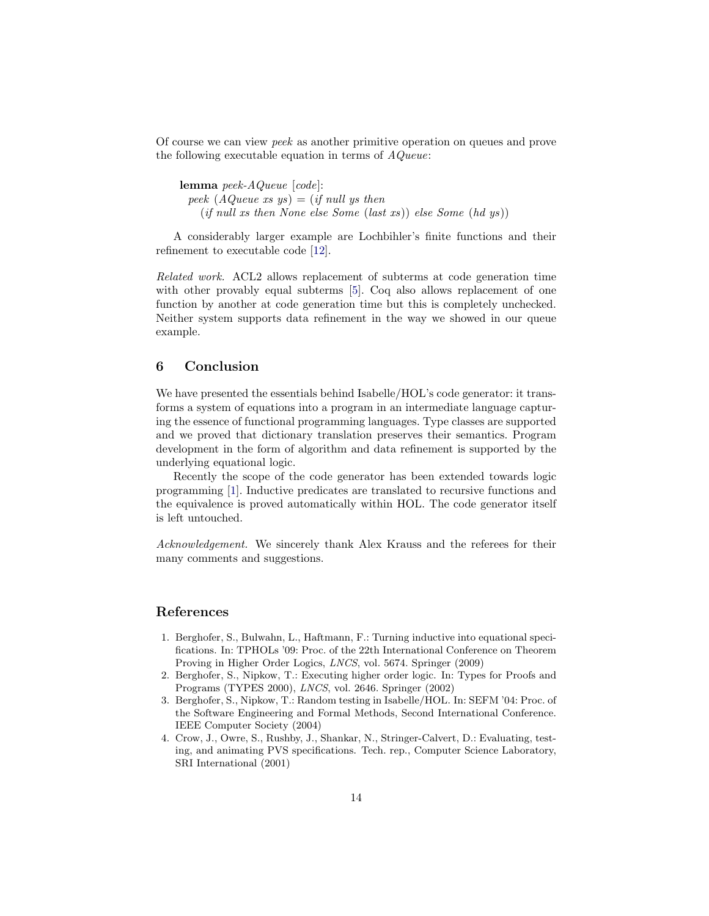Of course we can view peek as another primitive operation on queues and prove the following executable equation in terms of  $AQueue$ :

lemma peek-AQueue [code]: peek  $(AQueue \; xs) = (if \; null \; ys \; then$  $(if null xs then None else Some (last xs)) else Some (hd ys))$ 

A considerably larger example are Lochbihler's finite functions and their refinement to executable code [\[12\]](#page-14-16).

Related work. ACL2 allows replacement of subterms at code generation time with other provably equal subterms [\[5\]](#page-14-3). Coq also allows replacement of one function by another at code generation time but this is completely unchecked. Neither system supports data refinement in the way we showed in our queue example.

#### 6 Conclusion

We have presented the essentials behind Isabelle/HOL's code generator: it transforms a system of equations into a program in an intermediate language capturing the essence of functional programming languages. Type classes are supported and we proved that dictionary translation preserves their semantics. Program development in the form of algorithm and data refinement is supported by the underlying equational logic.

Recently the scope of the code generator has been extended towards logic programming [\[1\]](#page-13-3). Inductive predicates are translated to recursive functions and the equivalence is proved automatically within HOL. The code generator itself is left untouched.

Acknowledgement. We sincerely thank Alex Krauss and the referees for their many comments and suggestions.

#### References

- <span id="page-13-3"></span>1. Berghofer, S., Bulwahn, L., Haftmann, F.: Turning inductive into equational specifications. In: TPHOLs '09: Proc. of the 22th International Conference on Theorem Proving in Higher Order Logics, LNCS, vol. 5674. Springer (2009)
- <span id="page-13-1"></span>2. Berghofer, S., Nipkow, T.: Executing higher order logic. In: Types for Proofs and Programs (TYPES 2000), LNCS, vol. 2646. Springer (2002)
- <span id="page-13-0"></span>3. Berghofer, S., Nipkow, T.: Random testing in Isabelle/HOL. In: SEFM '04: Proc. of the Software Engineering and Formal Methods, Second International Conference. IEEE Computer Society (2004)
- <span id="page-13-2"></span>4. Crow, J., Owre, S., Rushby, J., Shankar, N., Stringer-Calvert, D.: Evaluating, testing, and animating PVS specifications. Tech. rep., Computer Science Laboratory, SRI International (2001)